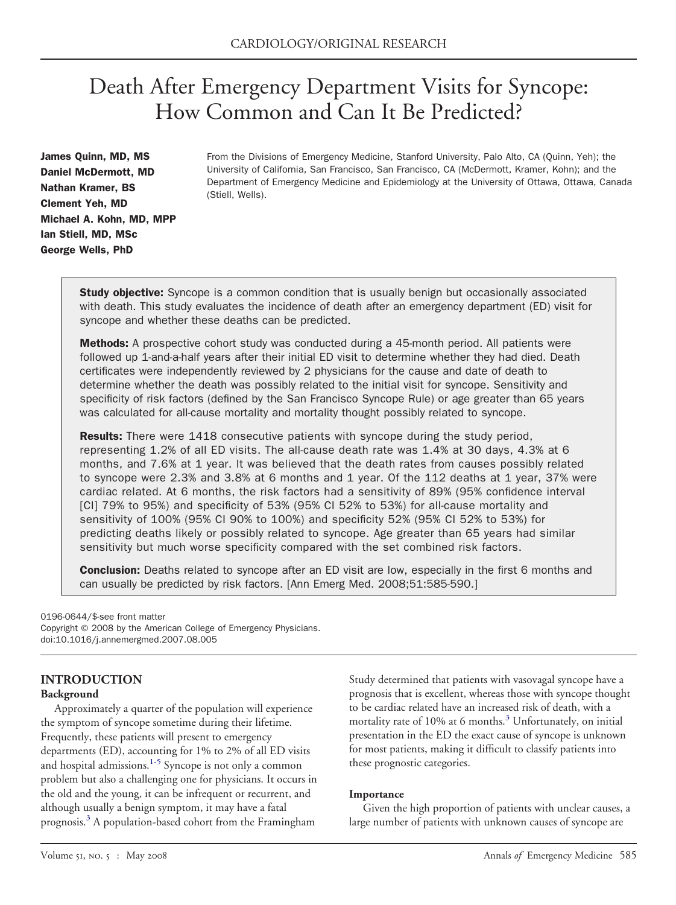# Death After Emergency Department Visits for Syncope: How Common and Can It Be Predicted?

James Quinn, MD, MS Daniel McDermott, MD Nathan Kramer, BS Clement Yeh, MD Michael A. Kohn, MD, MPP Ian Stiell, MD, MSc George Wells, PhD

From the Divisions of Emergency Medicine, Stanford University, Palo Alto, CA (Quinn, Yeh); the University of California, San Francisco, San Francisco, CA (McDermott, Kramer, Kohn); and the Department of Emergency Medicine and Epidemiology at the University of Ottawa, Ottawa, Canada (Stiell, Wells).

**Study objective:** Syncope is a common condition that is usually benign but occasionally associated with death. This study evaluates the incidence of death after an emergency department (ED) visit for syncope and whether these deaths can be predicted.

**Methods:** A prospective cohort study was conducted during a 45-month period. All patients were followed up 1-and-a-half years after their initial ED visit to determine whether they had died. Death certificates were independently reviewed by 2 physicians for the cause and date of death to determine whether the death was possibly related to the initial visit for syncope. Sensitivity and specificity of risk factors (defined by the San Francisco Syncope Rule) or age greater than 65 years was calculated for all-cause mortality and mortality thought possibly related to syncope.

Results: There were 1418 consecutive patients with syncope during the study period, representing 1.2% of all ED visits. The all-cause death rate was 1.4% at 30 days, 4.3% at 6 months, and 7.6% at 1 year. It was believed that the death rates from causes possibly related to syncope were 2.3% and 3.8% at 6 months and 1 year. Of the 112 deaths at 1 year, 37% were cardiac related. At 6 months, the risk factors had a sensitivity of 89% (95% confidence interval [CI] 79% to 95%) and specificity of 53% (95% CI 52% to 53%) for all-cause mortality and sensitivity of 100% (95% CI 90% to 100%) and specificity 52% (95% CI 52% to 53%) for predicting deaths likely or possibly related to syncope. Age greater than 65 years had similar sensitivity but much worse specificity compared with the set combined risk factors.

**Conclusion:** Deaths related to syncope after an ED visit are low, especially in the first 6 months and can usually be predicted by risk factors. [Ann Emerg Med. 2008;51:585-590.]

#### 0196-0644/\$-see front matter

Copyright © 2008 by the American College of Emergency Physicians. doi:10.1016/j.annemergmed.2007.08.005

# **INTRODUCTION**

#### **Background**

Approximately a quarter of the population will experience the symptom of syncope sometime during their lifetime. Frequently, these patients will present to emergency departments (ED), accounting for 1% to 2% of all ED visits and hospital admissions. $1-5$  Syncope is not only a common problem but also a challenging one for physicians. It occurs in the old and the young, it can be infrequent or recurrent, and although usually a benign symptom, it may have a fatal prognosis.[3](#page-5-0) A population-based cohort from the Framingham

Study determined that patients with vasovagal syncope have a prognosis that is excellent, whereas those with syncope thought to be cardiac related have an increased risk of death, with a mortality rate of 10% at 6 months.<sup>[3](#page-5-0)</sup> Unfortunately, on initial presentation in the ED the exact cause of syncope is unknown for most patients, making it difficult to classify patients into these prognostic categories.

## **Importance**

Given the high proportion of patients with unclear causes, a large number of patients with unknown causes of syncope are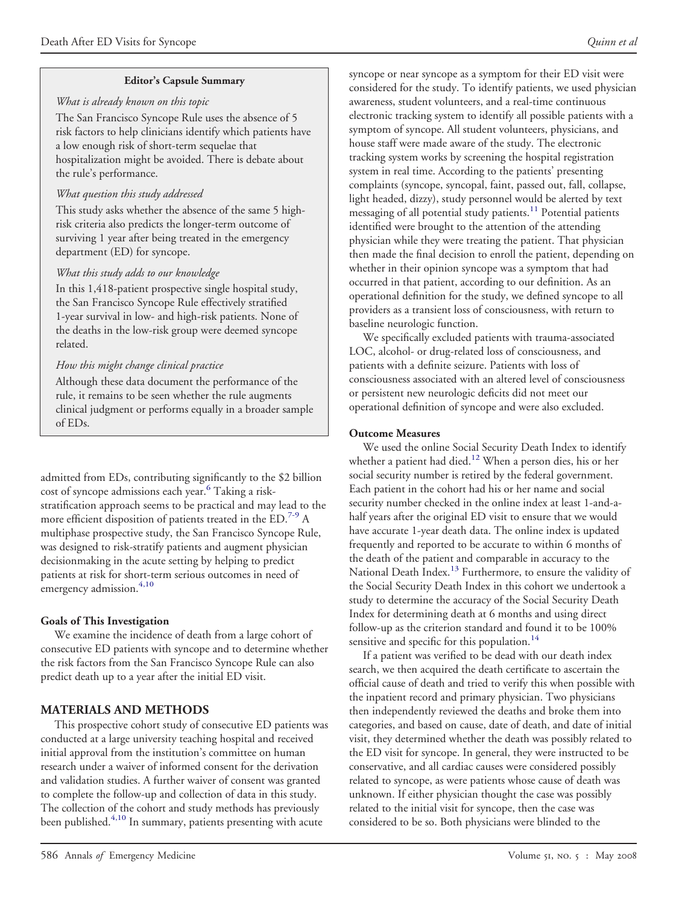## **Editor's Capsule Summary**

## *What is already known on this topic*

The San Francisco Syncope Rule uses the absence of 5 risk factors to help clinicians identify which patients have a low enough risk of short-term sequelae that hospitalization might be avoided. There is debate about the rule's performance.

## *What question this study addressed*

This study asks whether the absence of the same 5 highrisk criteria also predicts the longer-term outcome of surviving 1 year after being treated in the emergency department (ED) for syncope.

# *What this study adds to our knowledge*

In this 1,418-patient prospective single hospital study, the San Francisco Syncope Rule effectively stratified 1-year survival in low- and high-risk patients. None of the deaths in the low-risk group were deemed syncope related.

# *How this might change clinical practice*

Although these data document the performance of the rule, it remains to be seen whether the rule augments clinical judgment or performs equally in a broader sample of EDs.

admitted from EDs, contributing significantly to the \$2 billion cost of syncope admissions each year.<sup>[6](#page-5-0)</sup> Taking a riskstratification approach seems to be practical and may lead to the more efficient disposition of patients treated in the  $ED.^{7-9}$  $ED.^{7-9}$  $ED.^{7-9}$  A multiphase prospective study, the San Francisco Syncope Rule, was designed to risk-stratify patients and augment physician decisionmaking in the acute setting by helping to predict patients at risk for short-term serious outcomes in need of emergency admission.<sup>[4,10](#page-5-0)</sup>

# **Goals of This Investigation**

We examine the incidence of death from a large cohort of consecutive ED patients with syncope and to determine whether the risk factors from the San Francisco Syncope Rule can also predict death up to a year after the initial ED visit.

# **MATERIALS AND METHODS**

This prospective cohort study of consecutive ED patients was conducted at a large university teaching hospital and received initial approval from the institution's committee on human research under a waiver of informed consent for the derivation and validation studies. A further waiver of consent was granted to complete the follow-up and collection of data in this study. The collection of the cohort and study methods has previously been published.<sup>[4,10](#page-5-0)</sup> In summary, patients presenting with acute

syncope or near syncope as a symptom for their ED visit were considered for the study. To identify patients, we used physician awareness, student volunteers, and a real-time continuous electronic tracking system to identify all possible patients with a symptom of syncope. All student volunteers, physicians, and house staff were made aware of the study. The electronic tracking system works by screening the hospital registration system in real time. According to the patients' presenting complaints (syncope, syncopal, faint, passed out, fall, collapse, light headed, dizzy), study personnel would be alerted by text messaging of all potential study patients.<sup>[11](#page-5-0)</sup> Potential patients identified were brought to the attention of the attending physician while they were treating the patient. That physician then made the final decision to enroll the patient, depending on whether in their opinion syncope was a symptom that had occurred in that patient, according to our definition. As an operational definition for the study, we defined syncope to all providers as a transient loss of consciousness, with return to baseline neurologic function.

We specifically excluded patients with trauma-associated LOC, alcohol- or drug-related loss of consciousness, and patients with a definite seizure. Patients with loss of consciousness associated with an altered level of consciousness or persistent new neurologic deficits did not meet our operational definition of syncope and were also excluded.

# **Outcome Measures**

We used the online Social Security Death Index to identify whether a patient had died.<sup>[12](#page-5-0)</sup> When a person dies, his or her social security number is retired by the federal government. Each patient in the cohort had his or her name and social security number checked in the online index at least 1-and-ahalf years after the original ED visit to ensure that we would have accurate 1-year death data. The online index is updated frequently and reported to be accurate to within 6 months of the death of the patient and comparable in accuracy to the National Death Index.<sup>[13](#page-5-0)</sup> Furthermore, to ensure the validity of the Social Security Death Index in this cohort we undertook a study to determine the accuracy of the Social Security Death Index for determining death at 6 months and using direct follow-up as the criterion standard and found it to be 100% sensitive and specific for this population.<sup>[14](#page-5-0)</sup>

If a patient was verified to be dead with our death index search, we then acquired the death certificate to ascertain the official cause of death and tried to verify this when possible with the inpatient record and primary physician. Two physicians then independently reviewed the deaths and broke them into categories, and based on cause, date of death, and date of initial visit, they determined whether the death was possibly related to the ED visit for syncope. In general, they were instructed to be conservative, and all cardiac causes were considered possibly related to syncope, as were patients whose cause of death was unknown. If either physician thought the case was possibly related to the initial visit for syncope, then the case was considered to be so. Both physicians were blinded to the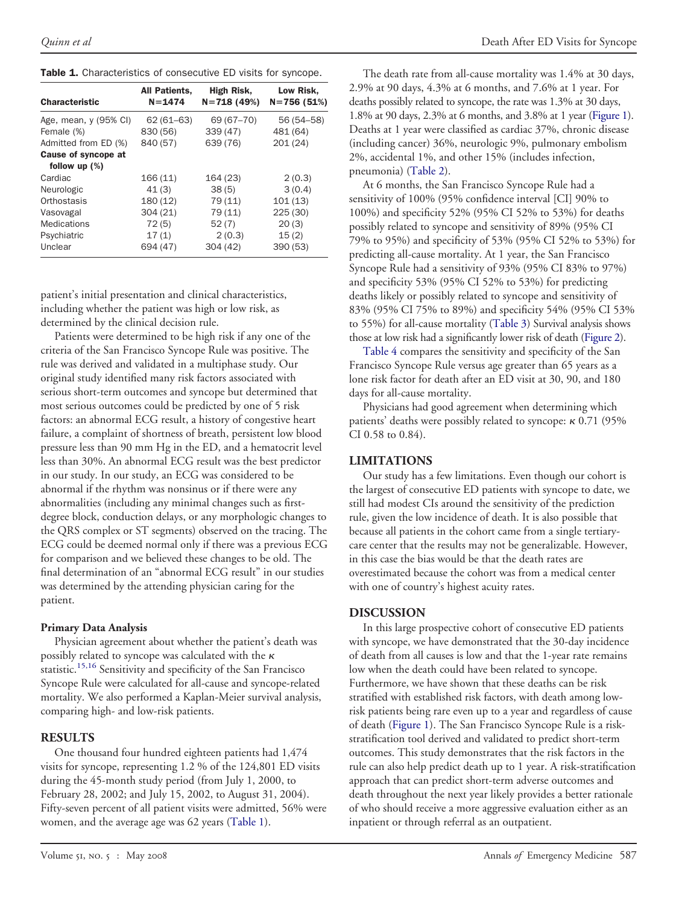<span id="page-2-0"></span>

| Table 1. Characteristics of consecutive ED visits for syncope. |  |  |  |
|----------------------------------------------------------------|--|--|--|
|----------------------------------------------------------------|--|--|--|

| <b>Characteristic</b> | All Patients,<br>$N = 1474$ | High Risk,<br>$N = 718(49%)$ | Low Risk,<br>$N = 756(51%)$ |
|-----------------------|-----------------------------|------------------------------|-----------------------------|
| Age, mean, y (95% CI) | $62(61 - 63)$               | 69 (67-70)                   | 56 (54 - 58)                |
| Female (%)            | 830 (56)                    | 339 (47)                     | 481 (64)                    |
| Admitted from ED (%)  | 840 (57)                    | 639 (76)                     | 201(24)                     |
| Cause of syncope at   |                             |                              |                             |
| follow up $(\%)$      |                             |                              |                             |
| Cardiac               | 166(11)                     | 164 (23)                     | 2(0.3)                      |
| Neurologic            | 41(3)                       | 38(5)                        | 3(0.4)                      |
| Orthostasis           | 180(12)                     | 79 (11)                      | 101(13)                     |
| Vasovagal             | 304(21)                     | 79 (11)                      | 225(30)                     |
| <b>Medications</b>    | 72(5)                       | 52(7)                        | 20(3)                       |
| Psychiatric           | 17(1)                       | 2(0.3)                       | 15(2)                       |
| Unclear               | 694 (47)                    | 304(42)                      | 390(53)                     |
|                       |                             |                              |                             |

patient's initial presentation and clinical characteristics, including whether the patient was high or low risk, as determined by the clinical decision rule.

Patients were determined to be high risk if any one of the criteria of the San Francisco Syncope Rule was positive. The rule was derived and validated in a multiphase study. Our original study identified many risk factors associated with serious short-term outcomes and syncope but determined that most serious outcomes could be predicted by one of 5 risk factors: an abnormal ECG result, a history of congestive heart failure, a complaint of shortness of breath, persistent low blood pressure less than 90 mm Hg in the ED, and a hematocrit level less than 30%. An abnormal ECG result was the best predictor in our study. In our study, an ECG was considered to be abnormal if the rhythm was nonsinus or if there were any abnormalities (including any minimal changes such as firstdegree block, conduction delays, or any morphologic changes to the QRS complex or ST segments) observed on the tracing. The ECG could be deemed normal only if there was a previous ECG for comparison and we believed these changes to be old. The final determination of an "abnormal ECG result" in our studies was determined by the attending physician caring for the patient.

## **Primary Data Analysis**

Physician agreement about whether the patient's death was possibly related to syncope was calculated with the  $\kappa$ statistic.<sup>[15,16](#page-5-0)</sup> Sensitivity and specificity of the San Francisco Syncope Rule were calculated for all-cause and syncope-related mortality. We also performed a Kaplan-Meier survival analysis, comparing high- and low-risk patients.

## **RESULTS**

One thousand four hundred eighteen patients had 1,474 visits for syncope, representing 1.2 % of the 124,801 ED visits during the 45-month study period (from July 1, 2000, to February 28, 2002; and July 15, 2002, to August 31, 2004). Fifty-seven percent of all patient visits were admitted, 56% were women, and the average age was 62 years (Table 1).

The death rate from all-cause mortality was 1.4% at 30 days, 2.9% at 90 days, 4.3% at 6 months, and 7.6% at 1 year. For deaths possibly related to syncope, the rate was 1.3% at 30 days, 1.8% at 90 days, 2.3% at 6 months, and 3.8% at 1 year [\(Figure](#page-3-0) 1). Deaths at 1 year were classified as cardiac 37%, chronic disease (including cancer) 36%, neurologic 9%, pulmonary embolism 2%, accidental 1%, and other 15% (includes infection, pneumonia) [\(Table](#page-3-0) 2).

At 6 months, the San Francisco Syncope Rule had a sensitivity of 100% (95% confidence interval [CI] 90% to 100%) and specificity 52% (95% CI 52% to 53%) for deaths possibly related to syncope and sensitivity of 89% (95% CI 79% to 95%) and specificity of 53% (95% CI 52% to 53%) for predicting all-cause mortality. At 1 year, the San Francisco Syncope Rule had a sensitivity of 93% (95% CI 83% to 97%) and specificity 53% (95% CI 52% to 53%) for predicting deaths likely or possibly related to syncope and sensitivity of 83% (95% CI 75% to 89%) and specificity 54% (95% CI 53% to 55%) for all-cause mortality [\(Table](#page-3-0) 3) Survival analysis shows those at low risk had a significantly lower risk of death [\(Figure](#page-4-0) 2).

[Table](#page-4-0) 4 compares the sensitivity and specificity of the San Francisco Syncope Rule versus age greater than 65 years as a lone risk factor for death after an ED visit at 30, 90, and 180 days for all-cause mortality.

Physicians had good agreement when determining which patients' deaths were possibly related to syncope:  $\kappa$  0.71 (95%) CI 0.58 to 0.84).

## **LIMITATIONS**

Our study has a few limitations. Even though our cohort is the largest of consecutive ED patients with syncope to date, we still had modest CIs around the sensitivity of the prediction rule, given the low incidence of death. It is also possible that because all patients in the cohort came from a single tertiarycare center that the results may not be generalizable. However, in this case the bias would be that the death rates are overestimated because the cohort was from a medical center with one of country's highest acuity rates.

## **DISCUSSION**

In this large prospective cohort of consecutive ED patients with syncope, we have demonstrated that the 30-day incidence of death from all causes is low and that the 1-year rate remains low when the death could have been related to syncope. Furthermore, we have shown that these deaths can be risk stratified with established risk factors, with death among lowrisk patients being rare even up to a year and regardless of cause of death [\(Figure](#page-3-0) 1). The San Francisco Syncope Rule is a riskstratification tool derived and validated to predict short-term outcomes. This study demonstrates that the risk factors in the rule can also help predict death up to 1 year. A risk-stratification approach that can predict short-term adverse outcomes and death throughout the next year likely provides a better rationale of who should receive a more aggressive evaluation either as an inpatient or through referral as an outpatient.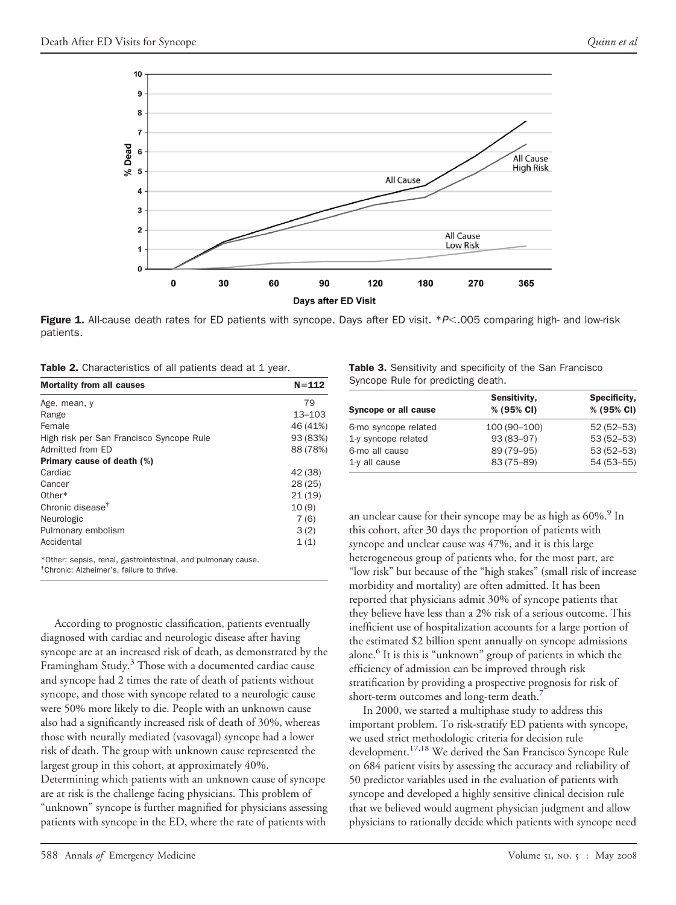<span id="page-3-0"></span>

**Figure 1.** All-cause death rates for ED patients with syncope. Days after ED visit. \**P*<005 comparing high- and low-risk patients.

Table 2. Characteristics of all patients dead at 1 year.

| <b>Mortality from all causes</b>                              | $N = 112$  |
|---------------------------------------------------------------|------------|
| Age, mean, y                                                  | 79         |
| Range                                                         | $13 - 103$ |
| Female                                                        | 46 (41%)   |
| High risk per San Francisco Syncope Rule                      | 93 (83%)   |
| Admitted from ED                                              | 88 (78%)   |
| <b>Primary cause of death (%)</b>                             |            |
| Cardiac                                                       | 42 (38)    |
| Cancer                                                        | 28(25)     |
| Other*                                                        | 21(19)     |
| Chronic disease <sup>†</sup>                                  | 10(9)      |
| Neurologic                                                    | 7(6)       |
| Pulmonary embolism                                            | 3(2)       |
| Accidental                                                    | 1(1)       |
| *Other: sepsis, renal, gastrointestinal, and pulmonary cause. |            |

† Chronic: Alzheimer's, failure to thrive.

According to prognostic classification, patients eventually diagnosed with cardiac and neurologic disease after having syncope are at an increased risk of death, as demonstrated by the Framingham Study. $3$  Those with a documented cardiac cause and syncope had 2 times the rate of death of patients without syncope, and those with syncope related to a neurologic cause were 50% more likely to die. People with an unknown cause also had a significantly increased risk of death of 30%, whereas those with neurally mediated (vasovagal) syncope had a lower risk of death. The group with unknown cause represented the largest group in this cohort, at approximately 40%. Determining which patients with an unknown cause of syncope are at risk is the challenge facing physicians. This problem of "unknown" syncope is further magnified for physicians assessing patients with syncope in the ED, where the rate of patients with

| Table 3. Sensitivity and specificity of the San Francisco |  |  |  |  |
|-----------------------------------------------------------|--|--|--|--|
| Syncope Rule for predicting death.                        |  |  |  |  |

|                      | Sensitivity, | Specificity,  |  |
|----------------------|--------------|---------------|--|
| Syncope or all cause | % (95% CI)   | % (95% CI)    |  |
| 6-mo syncope related | 100 (90-100) | $52(52 - 53)$ |  |
| 1-y syncope related  | 93 (83-97)   | $53(52 - 53)$ |  |
| 6-mo all cause       | 89 (79-95)   | $53(52 - 53)$ |  |
| $1-y$ all cause      | 83 (75-89)   | 54 (53 - 55)  |  |

an unclear cause for their syncope may be as high as  $60\%$ .<sup>[9](#page-5-0)</sup> In this cohort, after 30 days the proportion of patients with syncope and unclear cause was 47%, and it is this large heterogeneous group of patients who, for the most part, are "low risk" but because of the "high stakes" (small risk of increase morbidity and mortality) are often admitted. It has been reported that physicians admit 30% of syncope patients that they believe have less than a 2% risk of a serious outcome. This inefficient use of hospitalization accounts for a large portion of the estimated \$2 billion spent annually on syncope admissions alone.<sup>[6](#page-5-0)</sup> It is this is "unknown" group of patients in which the efficiency of admission can be improved through risk stratification by providing a prospective prognosis for risk of short-term outcomes and long-term death.<sup>[7](#page-5-0)</sup>

In 2000, we started a multiphase study to address this important problem. To risk-stratify ED patients with syncope, we used strict methodologic criteria for decision rule development.<sup>[17,18](#page-5-0)</sup> We derived the San Francisco Syncope Rule on 684 patient visits by assessing the accuracy and reliability of 50 predictor variables used in the evaluation of patients with syncope and developed a highly sensitive clinical decision rule that we believed would augment physician judgment and allow physicians to rationally decide which patients with syncope need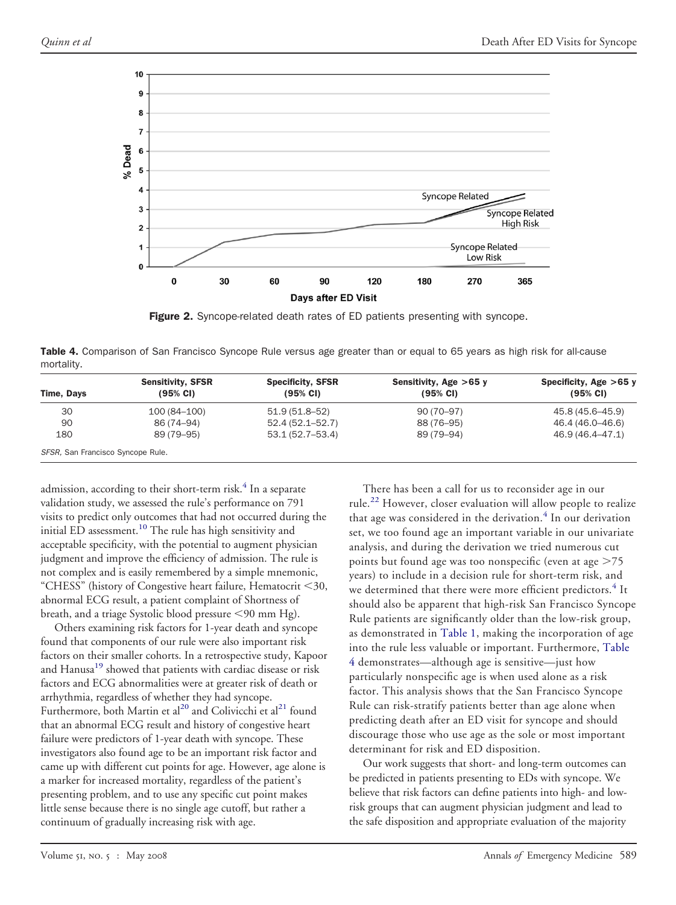<span id="page-4-0"></span>

Figure 2. Syncope-related death rates of ED patients presenting with syncope.

Table 4. Comparison of San Francisco Syncope Rule versus age greater than or equal to 65 years as high risk for all-cause mortality.

|                                   | <b>Sensitivity, SFSR</b> | <b>Specificity, SFSR</b> | Sensitivity, Age $>65$ y | Specificity, Age $>65$ y |  |
|-----------------------------------|--------------------------|--------------------------|--------------------------|--------------------------|--|
| Time, Days                        | $(95% \text{ CI})$       | $(95% \text{ Cl})$       | $(95% \text{ Cl})$       | $(95% \text{ CI})$       |  |
| 30                                | 100 (84–100)             | 51.9 (51.8–52)           | $90(70 - 97)$            | 45.8 (45.6–45.9)         |  |
| 90                                | 86 (74–94)               | 52.4 (52.1–52.7)         | 88 (76-95)               | 46.4 (46.0–46.6)         |  |
| 180                               | 89 (79–95)               | 53.1 (52.7–53.4)         | 89 (79–94)               | 46.9 (46.4–47.1)         |  |
| SFSR, San Francisco Syncope Rule. |                          |                          |                          |                          |  |

admission, according to their short-term risk.<sup>[4](#page-5-0)</sup> In a separate validation study, we assessed the rule's performance on 791 visits to predict only outcomes that had not occurred during the initial ED assessment.<sup>[10](#page-5-0)</sup> The rule has high sensitivity and acceptable specificity, with the potential to augment physician judgment and improve the efficiency of admission. The rule is not complex and is easily remembered by a simple mnemonic, "CHESS" (history of Congestive heart failure, Hematocrit 30, abnormal ECG result, a patient complaint of Shortness of breath, and a triage Systolic blood pressure <90 mm Hg).

Others examining risk factors for 1-year death and syncope found that components of our rule were also important risk factors on their smaller cohorts. In a retrospective study, Kapoor and Hanusa<sup>[19](#page-5-0)</sup> showed that patients with cardiac disease or risk factors and ECG abnormalities were at greater risk of death or arrhythmia, regardless of whether they had syncope. Furthermore, both Martin et al<sup>[20](#page-5-0)</sup> and Colivicchi et al<sup>[21](#page-5-0)</sup> found that an abnormal ECG result and history of congestive heart failure were predictors of 1-year death with syncope. These investigators also found age to be an important risk factor and came up with different cut points for age. However, age alone is a marker for increased mortality, regardless of the patient's presenting problem, and to use any specific cut point makes little sense because there is no single age cutoff, but rather a continuum of gradually increasing risk with age.

There has been a call for us to reconsider age in our rule.<sup>[22](#page-5-0)</sup> However, closer evaluation will allow people to realize that age was considered in the derivation. $4$  In our derivation set, we too found age an important variable in our univariate analysis, and during the derivation we tried numerous cut points but found age was too nonspecific (even at age  $\geq$ 75 years) to include in a decision rule for short-term risk, and we determined that there were more efficient predictors.<sup>[4](#page-5-0)</sup> It should also be apparent that high-risk San Francisco Syncope Rule patients are significantly older than the low-risk group, as demonstrated in [Table](#page-2-0) 1, making the incorporation of age into the rule less valuable or important. Furthermore, Table 4 demonstrates—although age is sensitive—just how particularly nonspecific age is when used alone as a risk factor. This analysis shows that the San Francisco Syncope Rule can risk-stratify patients better than age alone when predicting death after an ED visit for syncope and should discourage those who use age as the sole or most important determinant for risk and ED disposition.

Our work suggests that short- and long-term outcomes can be predicted in patients presenting to EDs with syncope. We believe that risk factors can define patients into high- and lowrisk groups that can augment physician judgment and lead to the safe disposition and appropriate evaluation of the majority